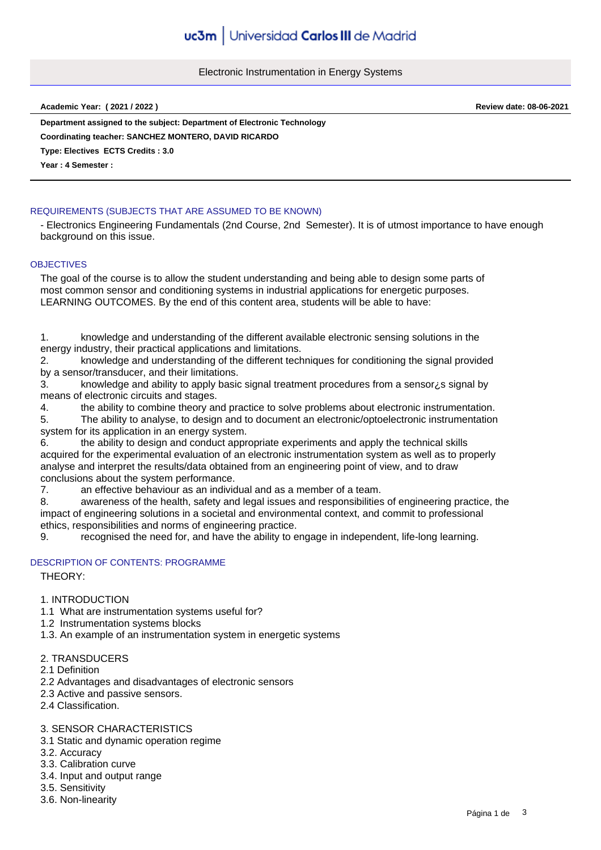Electronic Instrumentation in Energy Systems

**Academic Year: ( 2021 / 2022 ) Review date: 08-06-2021**

**Department assigned to the subject: Department of Electronic Technology Type: Electives ECTS Credits : 3.0 Coordinating teacher: SANCHEZ MONTERO, DAVID RICARDO**

**Year : 4 Semester :**

### REQUIREMENTS (SUBJECTS THAT ARE ASSUMED TO BE KNOWN)

- Electronics Engineering Fundamentals (2nd Course, 2nd Semester). It is of utmost importance to have enough background on this issue.

#### **OBJECTIVES**

The goal of the course is to allow the student understanding and being able to design some parts of most common sensor and conditioning systems in industrial applications for energetic purposes. LEARNING OUTCOMES. By the end of this content area, students will be able to have:

1. knowledge and understanding of the different available electronic sensing solutions in the energy industry, their practical applications and limitations.

2. knowledge and understanding of the different techniques for conditioning the signal provided by a sensor/transducer, and their limitations.

3. knowledge and ability to apply basic signal treatment procedures from a sensor¿s signal by means of electronic circuits and stages.

4. the ability to combine theory and practice to solve problems about electronic instrumentation.

5. The ability to analyse, to design and to document an electronic/optoelectronic instrumentation system for its application in an energy system.

6. the ability to design and conduct appropriate experiments and apply the technical skills acquired for the experimental evaluation of an electronic instrumentation system as well as to properly analyse and interpret the results/data obtained from an engineering point of view, and to draw conclusions about the system performance.

7. an effective behaviour as an individual and as a member of a team.

8. awareness of the health, safety and legal issues and responsibilities of engineering practice, the impact of engineering solutions in a societal and environmental context, and commit to professional ethics, responsibilities and norms of engineering practice.

9. recognised the need for, and have the ability to engage in independent, life-long learning.

### DESCRIPTION OF CONTENTS: PROGRAMME

THEORY:

### 1. INTRODUCTION

1.1 What are instrumentation systems useful for?

- 1.2 Instrumentation systems blocks
- 1.3. An example of an instrumentation system in energetic systems

## 2. TRANSDUCERS

2.1 Definition

- 2.2 Advantages and disadvantages of electronic sensors
- 2.3 Active and passive sensors.
- 2.4 Classification.

### 3. SENSOR CHARACTERISTICS

- 3.1 Static and dynamic operation regime
- 3.2. Accuracy
- 3.3. Calibration curve
- 3.4. Input and output range
- 3.5. Sensitivity
- 3.6. Non-linearity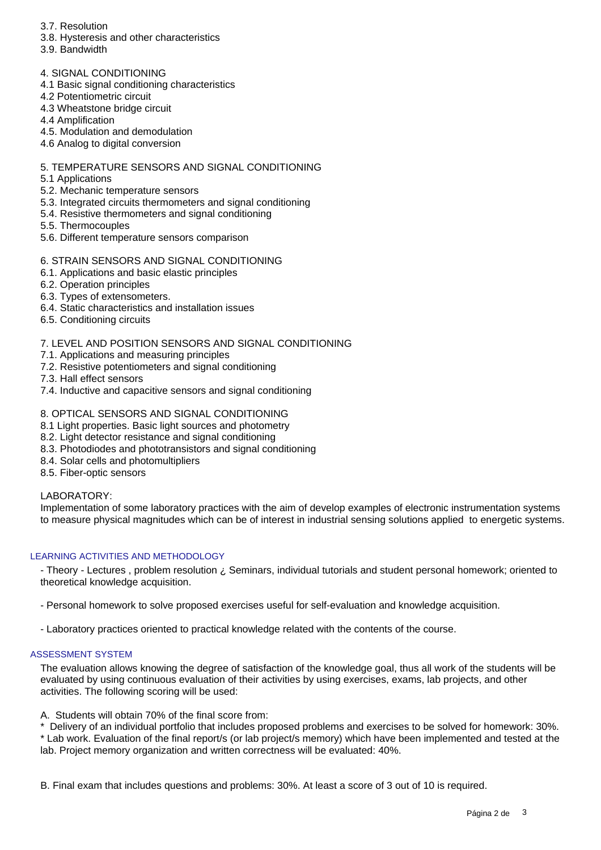- 3.7. Resolution
- 3.8. Hysteresis and other characteristics
- 3.9. Bandwidth
- 4. SIGNAL CONDITIONING
- 4.1 Basic signal conditioning characteristics
- 4.2 Potentiometric circuit
- 4.3 Wheatstone bridge circuit
- 4.4 Amplification
- 4.5. Modulation and demodulation
- 4.6 Analog to digital conversion

## 5. TEMPERATURE SENSORS AND SIGNAL CONDITIONING

- 5.1 Applications
- 5.2. Mechanic temperature sensors
- 5.3. Integrated circuits thermometers and signal conditioning
- 5.4. Resistive thermometers and signal conditioning
- 5.5. Thermocouples
- 5.6. Different temperature sensors comparison

# 6. STRAIN SENSORS AND SIGNAL CONDITIONING

- 6.1. Applications and basic elastic principles
- 6.2. Operation principles
- 6.3. Types of extensometers.
- 6.4. Static characteristics and installation issues
- 6.5. Conditioning circuits

## 7. LEVEL AND POSITION SENSORS AND SIGNAL CONDITIONING

- 7.1. Applications and measuring principles
- 7.2. Resistive potentiometers and signal conditioning
- 7.3. Hall effect sensors
- 7.4. Inductive and capacitive sensors and signal conditioning

## 8. OPTICAL SENSORS AND SIGNAL CONDITIONING

- 8.1 Light properties. Basic light sources and photometry
- 8.2. Light detector resistance and signal conditioning
- 8.3. Photodiodes and phototransistors and signal conditioning
- 8.4. Solar cells and photomultipliers
- 8.5. Fiber-optic sensors

### LABORATORY:

Implementation of some laboratory practices with the aim of develop examples of electronic instrumentation systems to measure physical magnitudes which can be of interest in industrial sensing solutions applied to energetic systems.

### LEARNING ACTIVITIES AND METHODOLOGY

- Theory - Lectures , problem resolution ¿ Seminars, individual tutorials and student personal homework; oriented to theoretical knowledge acquisition.

- Personal homework to solve proposed exercises useful for self-evaluation and knowledge acquisition.
- Laboratory practices oriented to practical knowledge related with the contents of the course.

### ASSESSMENT SYSTEM

The evaluation allows knowing the degree of satisfaction of the knowledge goal, thus all work of the students will be evaluated by using continuous evaluation of their activities by using exercises, exams, lab projects, and other activities. The following scoring will be used:

A. Students will obtain 70% of the final score from:

\* Delivery of an individual portfolio that includes proposed problems and exercises to be solved for homework: 30%. \* Lab work. Evaluation of the final report/s (or lab project/s memory) which have been implemented and tested at the lab. Project memory organization and written correctness will be evaluated: 40%.

B. Final exam that includes questions and problems: 30%. At least a score of 3 out of 10 is required.